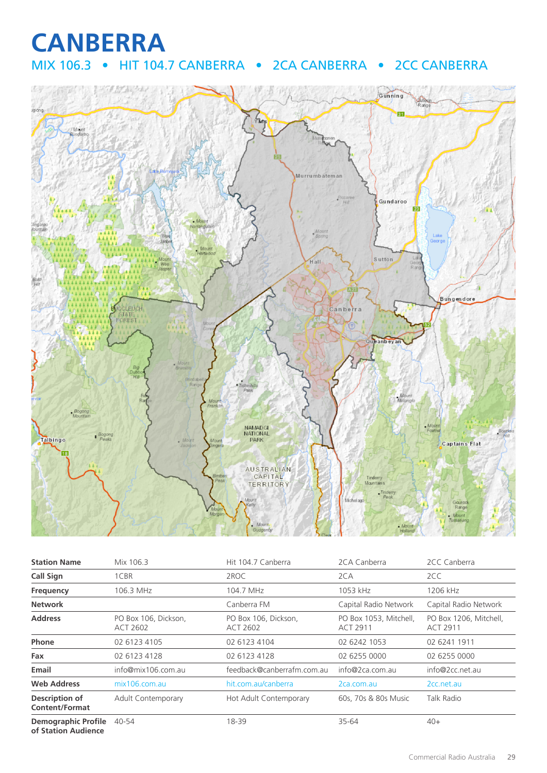# **CANBERRA**

## MIX 106.3 • HIT 104.7 CANBERRA • 2CA CANBERRA • 2CC CANBERRA



| <b>Station Name</b>                     | Mix 106.3                        | Hit 104.7 Canberra               | 2CA Canberra                              | 2CC Canberra                              |
|-----------------------------------------|----------------------------------|----------------------------------|-------------------------------------------|-------------------------------------------|
| <b>Call Sign</b>                        | 1CBR                             | 2ROC                             | 2CA                                       | 2CC                                       |
| Frequency                               | 106.3 MHz                        | 104.7 MHz                        | 1053 kHz                                  | 1206 kHz                                  |
| <b>Network</b>                          |                                  | Canberra FM                      | Capital Radio Network                     | Capital Radio Network                     |
| <b>Address</b>                          | PO Box 106, Dickson,<br>ACT 2602 | PO Box 106, Dickson,<br>ACT 2602 | PO Box 1053, Mitchell,<br><b>ACT 2911</b> | PO Box 1206, Mitchell,<br><b>ACT 2911</b> |
| Phone                                   | 02 6123 4105                     | 02 6123 4104                     | 02 6242 1053                              | 02 6241 1911                              |
| Fax                                     | 02 6123 4128                     | 02 6123 4128                     | 02 6255 0000                              | 02 6255 0000                              |
| Email                                   | info@mix106.com.au               | feedback@canberrafm.com.au       | info@2ca.com.au                           | info@2cc.net.au                           |
| <b>Web Address</b>                      | mix106.com.au                    | hit.com.au/canberra              | 2ca.com.au                                | 2cc.net.au                                |
| Description of<br><b>Content/Format</b> | Adult Contemporary               | Hot Adult Contemporary           | 60s, 70s & 80s Music                      | Talk Radio                                |
| <b>Demographic Profile</b>              | 40-54                            | 18-39                            | 35-64                                     | $40+$                                     |

**of Station Audience**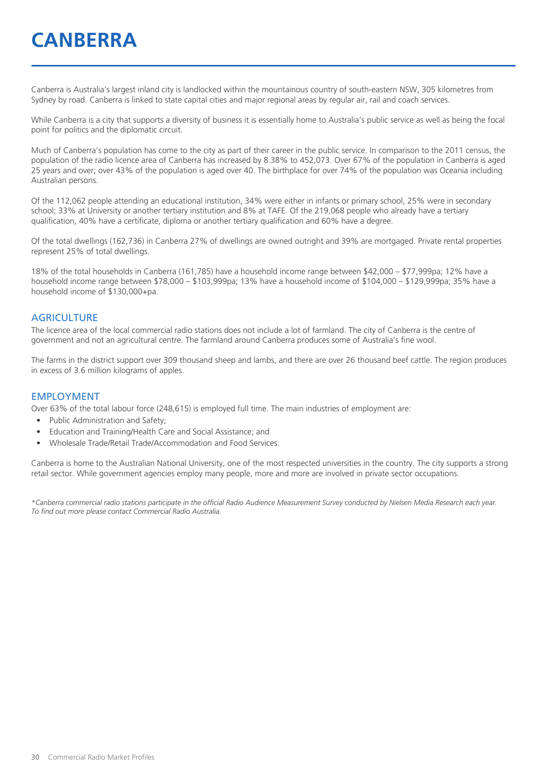# **CANBERRA**

Canberra is Australia's largest inland city is landlocked within the mountainous country of south-eastern NSW, 305 kilometres from Sydney by road. Canberra is linked to state capital cities and major regional areas by regular air, rail and coach services.

While Canberra is a city that supports a diversity of business it is essentially home to Australia's public service as well as being the focal point for politics and the diplomatic circuit.

Much of Canberra's population has come to the city as part of their career in the public service. In comparison to the 2011 census, the population of the radio licence area of Canberra has increased by 8.38% to 452,073. Over 67% of the population in Canberra is aged 25 years and over; over 43% of the population is aged over 40. The birthplace for over 74% of the population was Oceania including Australian persons.

Of the 112,062 people attending an educational institution, 34% were either in infants or primary school, 25% were in secondary school; 33% at University or another tertiary institution and 8% at TAFE. Of the 219,068 people who already have a tertiary qualification, 40% have a certificate, diploma or another tertiary qualification and 60% have a degree.

Of the total dwellings (162,736) in Canberra 27% of dwellings are owned outright and 39% are mortgaged. Private rental properties represent 25% of total dwellings.

18% of the total households in Canberra (161,785) have a household income range between \$42,000 – \$77,999pa; 12% have a household income range between \$78,000 – \$103,999pa; 13% have a household income of \$104,000 – \$129,999pa; 35% have a household income of \$130,000+pa.

#### **AGRICULTURE**

The licence area of the local commercial radio stations does not include a lot of farmland. The city of Canberra is the centre of government and not an agricultural centre. The farmland around Canberra produces some of Australia's fine wool.

The farms in the district support over 309 thousand sheep and lambs, and there are over 26 thousand beef cattle. The region produces in excess of 3.6 million kilograms of apples.

#### EMPLOYMENT

Over 63% of the total labour force (248,615) is employed full time. The main industries of employment are:

- Public Administration and Safety;
- Education and Training/Health Care and Social Assistance; and
- Wholesale Trade/Retail Trade/Accommodation and Food Services.

Canberra is home to the Australian National University, one of the most respected universities in the country. The city supports a strong retail sector. While government agencies employ many people, more and more are involved in private sector occupations.

*\*Canberra commercial radio stations participate in the official Radio Audience Measurement Survey conducted by Nielsen Media Research each year. To find out more please contact Commercial Radio Australia.*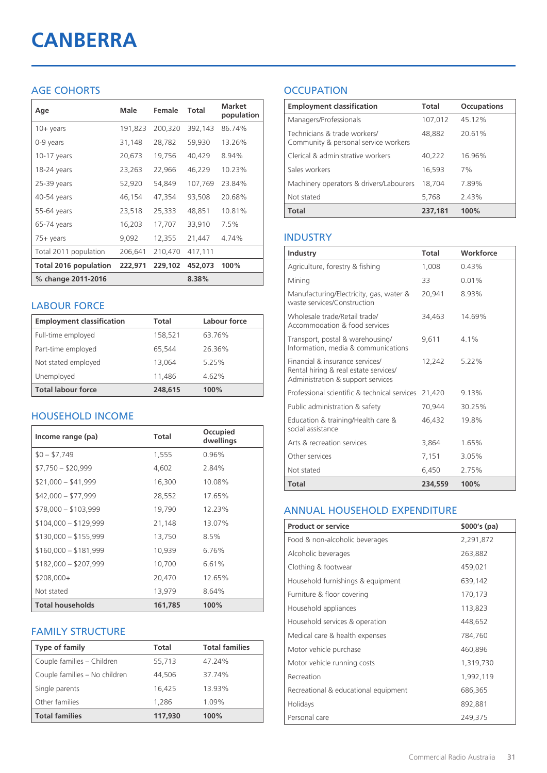# **CANBERRA**

#### AGE COHORTS

| Age                   | Male    | Female  | <b>Total</b> | <b>Market</b><br>population |
|-----------------------|---------|---------|--------------|-----------------------------|
| $10 + \gamma$ ears    | 191,823 | 200,320 | 392,143      | 86.74%                      |
| 0-9 years             | 31,148  | 28,782  | 59,930       | 13.26%                      |
| $10-17$ years         | 20,673  | 19,756  | 40,429       | 8.94%                       |
| 18-24 years           | 23,263  | 22,966  | 46,229       | 10.23%                      |
| 25-39 years           | 52,920  | 54,849  | 107,769      | 23.84%                      |
| 40-54 years           | 46,154  | 47,354  | 93,508       | 20.68%                      |
| 55-64 years           | 23,518  | 25,333  | 48,851       | 10.81%                      |
| 65-74 years           | 16,203  | 17,707  | 33,910       | 7.5%                        |
| 75+ years             | 9,092   | 12,355  | 21,447       | 4.74%                       |
| Total 2011 population | 206,641 | 210,470 | 417,111      |                             |
| Total 2016 population | 222,971 | 229,102 | 452,073      | 100%                        |
| % change 2011-2016    |         |         | 8.38%        |                             |

#### LABOUR FORCE

| <b>Employment classification</b> | Total   | Labour force |
|----------------------------------|---------|--------------|
| Full-time employed               | 158,521 | 63.76%       |
| Part-time employed               | 65,544  | 26.36%       |
| Not stated employed              | 13.064  | 5.25%        |
| Unemployed                       | 11,486  | 4.62%        |
| <b>Total labour force</b>        | 248.615 | 100%         |

#### HOUSEHOLD INCOME

| Income range (pa)       | Total   | Occupied<br>dwellings |
|-------------------------|---------|-----------------------|
| $$0 - $7,749$           | 1,555   | 0.96%                 |
| $$7,750 - $20,999$      | 4,602   | 2.84%                 |
| $$21,000 - $41,999$     | 16,300  | 10.08%                |
| $$42,000 - $77,999$     | 28,552  | 17.65%                |
| $$78,000 - $103,999$    | 19,790  | 12.23%                |
| $$104,000 - $129,999$   | 21,148  | 13.07%                |
| $$130,000 - $155,999$   | 13,750  | $8.5\%$               |
| $$160,000 - $181,999$   | 10,939  | 6.76%                 |
| $$182,000 - $207,999$   | 10,700  | 6.61%                 |
| $$208,000+$             | 20,470  | 12.65%                |
| Not stated              | 13,979  | 8.64%                 |
| <b>Total households</b> | 161,785 | 100%                  |

#### FAMILY STRUCTURE

| <b>Type of family</b>         | <b>Total</b> | <b>Total families</b> |
|-------------------------------|--------------|-----------------------|
| Couple families - Children    | 55,713       | 47.24%                |
| Couple families - No children | 44,506       | 37.74%                |
| Single parents                | 16.425       | 13.93%                |
| Other families                | 1,286        | 1.09%                 |
| <b>Total families</b>         | 117,930      | 100%                  |

### **OCCUPATION**

| <b>Employment classification</b>                                     | <b>Total</b> | <b>Occupations</b> |
|----------------------------------------------------------------------|--------------|--------------------|
| Managers/Professionals                                               | 107,012      | 45.12%             |
| Technicians & trade workers/<br>Community & personal service workers | 48,882       | 20.61%             |
| Clerical & administrative workers                                    | 40,222       | 16.96%             |
| Sales workers                                                        | 16,593       | 7%                 |
| Machinery operators & drivers/Labourers                              | 18,704       | 7.89%              |
| Not stated                                                           | 5,768        | 2.43%              |
| <b>Total</b>                                                         | 237,181      | 100%               |

#### INDUSTRY

| Industry                                                                                                      | <b>Total</b> | Workforce |
|---------------------------------------------------------------------------------------------------------------|--------------|-----------|
| Agriculture, forestry & fishing                                                                               | 1,008        | 0.43%     |
| Mining                                                                                                        | 33           | 0.01%     |
| Manufacturing/Electricity, gas, water &<br>waste services/Construction                                        | 20.941       | 8.93%     |
| Wholesale trade/Retail trade/<br>Accommodation & food services                                                | 34,463       | 14.69%    |
| Transport, postal & warehousing/<br>Information, media & communications                                       | 9,611        | $4.1\%$   |
| Financial & insurance services/<br>Rental hiring & real estate services/<br>Administration & support services | 12,242       | 5.22%     |
| Professional scientific & technical services                                                                  | 21,420       | 9.13%     |
| Public administration & safety                                                                                | 70.944       | 30.25%    |
| Education & training/Health care &<br>social assistance                                                       | 46,432       | 19.8%     |
| Arts & recreation services                                                                                    | 3,864        | 1.65%     |
| Other services                                                                                                | 7,151        | 3.05%     |
| Not stated                                                                                                    | 6.450        | 2.75%     |
| Total                                                                                                         | 234,559      | 100%      |

#### ANNUAL HOUSEHOLD EXPENDITURE

| <b>Product or service</b>            | $$000's$ (pa) |
|--------------------------------------|---------------|
| Food & non-alcoholic beverages       | 2,291,872     |
| Alcoholic beverages                  | 263,882       |
| Clothing & footwear                  | 459,021       |
| Household furnishings & equipment    | 639,142       |
| Furniture & floor covering           | 170,173       |
| Household appliances                 | 113,823       |
| Household services & operation       | 448,652       |
| Medical care & health expenses       | 784,760       |
| Motor vehicle purchase               | 460,896       |
| Motor vehicle running costs          | 1,319,730     |
| Recreation                           | 1,992,119     |
| Recreational & educational equipment | 686,365       |
| Holidays                             | 892,881       |
| Personal care                        | 249,375       |